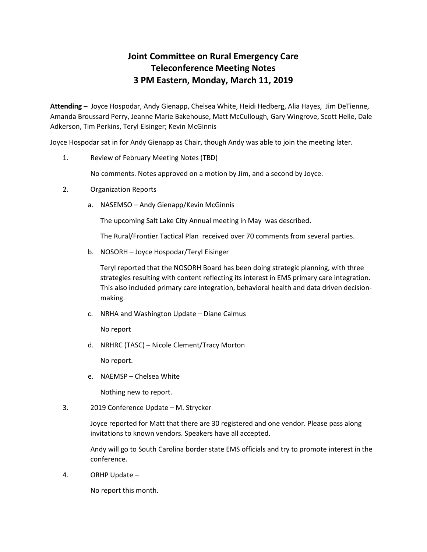## **Joint Committee on Rural Emergency Care Teleconference Meeting Notes 3 PM Eastern, Monday, March 11, 2019**

**Attending** – Joyce Hospodar, Andy Gienapp, Chelsea White, Heidi Hedberg, Alia Hayes, Jim DeTienne, Amanda Broussard Perry, Jeanne Marie Bakehouse, Matt McCullough, Gary Wingrove, Scott Helle, Dale Adkerson, Tim Perkins, Teryl Eisinger; Kevin McGinnis

Joyce Hospodar sat in for Andy Gienapp as Chair, though Andy was able to join the meeting later.

1. Review of February Meeting Notes (TBD)

No comments. Notes approved on a motion by Jim, and a second by Joyce.

- 2. Organization Reports
	- a. NASEMSO Andy Gienapp/Kevin McGinnis

The upcoming Salt Lake City Annual meeting in May was described.

The Rural/Frontier Tactical Plan received over 70 comments from several parties.

b. NOSORH – Joyce Hospodar/Teryl Eisinger

Teryl reported that the NOSORH Board has been doing strategic planning, with three strategies resulting with content reflecting its interest in EMS primary care integration. This also included primary care integration, behavioral health and data driven decisionmaking.

c. NRHA and Washington Update – Diane Calmus

No report

d. NRHRC (TASC) – Nicole Clement/Tracy Morton

No report.

e. NAEMSP – Chelsea White

Nothing new to report.

3. 2019 Conference Update – M. Strycker

Joyce reported for Matt that there are 30 registered and one vendor. Please pass along invitations to known vendors. Speakers have all accepted.

Andy will go to South Carolina border state EMS officials and try to promote interest in the conference.

4. ORHP Update –

No report this month.